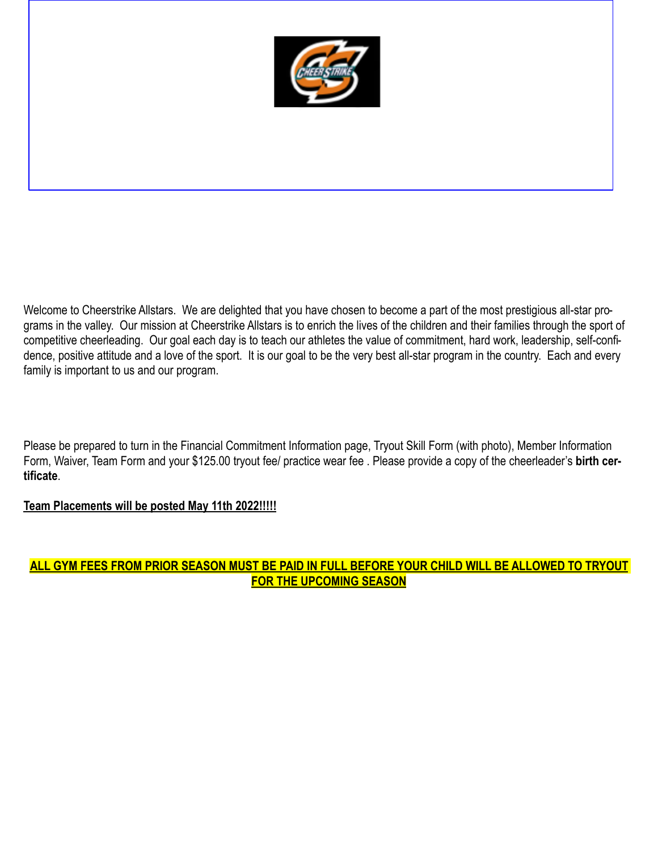

Welcome to Cheerstrike Allstars. We are delighted that you have chosen to become a part of the most prestigious all-star programs in the valley. Our mission at Cheerstrike Allstars is to enrich the lives of the children and their families through the sport of competitive cheerleading. Our goal each day is to teach our athletes the value of commitment, hard work, leadership, self-confidence, positive attitude and a love of the sport. It is our goal to be the very best all-star program in the country. Each and every family is important to us and our program.

Please be prepared to turn in the Financial Commitment Information page, Tryout Skill Form (with photo), Member Information Form, Waiver, Team Form and your \$125.00 tryout fee/ practice wear fee . Please provide a copy of the cheerleader's **birth certificate**.

## **Team Placements will be posted May 11th 2022!!!!!**

# **ALL GYM FEES FROM PRIOR SEASON MUST BE PAID IN FULL BEFORE YOUR CHILD WILL BE ALLOWED TO TRYOUT FOR THE UPCOMING SEASON**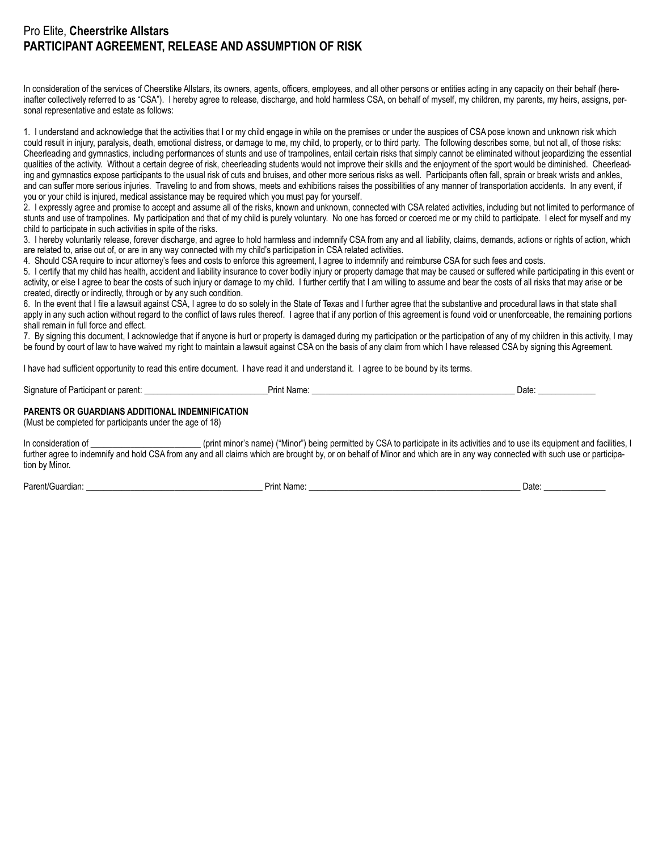# Pro Elite, **Cheerstrike Allstars PARTICIPANT AGREEMENT, RELEASE AND ASSUMPTION OF RISK**

In consideration of the services of Cheerstike Allstars, its owners, agents, officers, employees, and all other persons or entities acting in any capacity on their behalf (hereinafter collectively referred to as "CSA"). I hereby agree to release, discharge, and hold harmless CSA, on behalf of myself, my children, my parents, my heirs, assigns, personal representative and estate as follows:

1. I understand and acknowledge that the activities that I or my child engage in while on the premises or under the auspices of CSA pose known and unknown risk which could result in iniury, paralysis, death, emotional distress, or damage to me, my child, to property, or to third party. The following describes some, but not all, of those risks: Cheerleading and gymnastics, including performances of stunts and use of trampolines, entail certain risks that simply cannot be eliminated without jeopardizing the essential qualities of the activity. Without a certain degree of risk, cheerleading students would not improve their skills and the enjoyment of the sport would be diminished. Cheerleading and gymnastics expose participants to the usual risk of cuts and bruises, and other more serious risks as well. Participants often fall, sprain or break wrists and ankles, and can suffer more serious injuries. Traveling to and from shows, meets and exhibitions raises the possibilities of any manner of transportation accidents. In any event, if you or your child is injured, medical assistance may be required which you must pay for yourself.

2. I expressly agree and promise to accept and assume all of the risks, known and unknown, connected with CSA related activities, including but not limited to performance of stunts and use of trampolines. My participation and that of my child is purely voluntary. No one has forced or coerced me or my child to participate. I elect for myself and my child to participate in such activities in spite of the risks.

3. I hereby voluntarily release, forever discharge, and agree to hold harmless and indemnify CSA from any and all liability, claims, demands, actions or rights of action, which are related to, arise out of, or are in any way connected with my child's participation in CSA related activities.

4. Should CSA require to incur attorney's fees and costs to enforce this agreement, I agree to indemnify and reimburse CSA for such fees and costs.

5. I certify that my child has health, accident and liability insurance to cover bodily injury or property damage that may be caused or suffered while participating in this event or activity, or else I agree to bear the costs of such injury or damage to my child. I further certify that I am willing to assume and bear the costs of all risks that may arise or be created, directly or indirectly, through or by any such condition.

6. In the event that I file a lawsuit against CSA, I agree to do so solely in the State of Texas and I further agree that the substantive and procedural laws in that state shall apply in any such action without regard to the conflict of laws rules thereof. I agree that if any portion of this agreement is found void or unenforceable, the remaining portions shall remain in full force and effect.

7. By signing this document, I acknowledge that if anyone is hurt or property is damaged during my participation or the participation of any of my children in this activity, I may be found by court of law to have waived my right to maintain a lawsuit against CSA on the basis of any claim from which I have released CSA by signing this Agreement.

I have had sufficient opportunity to read this entire document. I have read it and understand it. I agree to be bound by its terms.

Signature of Participant or parent: \_\_\_\_\_\_\_\_\_\_\_\_\_\_\_\_\_\_\_\_\_\_\_\_\_\_\_\_Print Name: \_\_\_\_\_\_\_\_\_\_\_\_\_\_\_\_\_\_\_\_\_\_\_\_\_\_\_\_\_\_\_\_\_\_\_\_\_\_\_\_\_\_\_\_\_\_ Date: \_\_\_\_\_\_\_\_\_\_\_\_\_

#### **PARENTS OR GUARDIANS ADDITIONAL INDEMNIFICATION**

(Must be completed for participants under the age of 18)

In consideration of \_\_\_\_\_\_\_\_\_\_\_\_\_\_\_\_\_\_\_\_\_\_\_\_\_\_\_\_\_(print minor's name) ("Minor") being permitted by CSA to participate in its activities and to use its equipment and facilities, I further agree to indemnify and hold CSA from any and all claims which are brought by, or on behalf of Minor and which are in any way connected with such use or participation by Minor.

Parent/Guardian: \_\_\_\_\_\_\_\_\_\_\_\_\_\_\_\_\_\_\_\_\_\_\_\_\_\_\_\_\_\_\_\_\_\_\_\_\_\_\_\_ Print Name: \_\_\_\_\_\_\_\_\_\_\_\_\_\_\_\_\_\_\_\_\_\_\_\_\_\_\_\_\_\_\_\_\_\_\_\_\_\_\_\_\_\_\_\_\_\_\_\_ Date: \_\_\_\_\_\_\_\_\_\_\_\_\_\_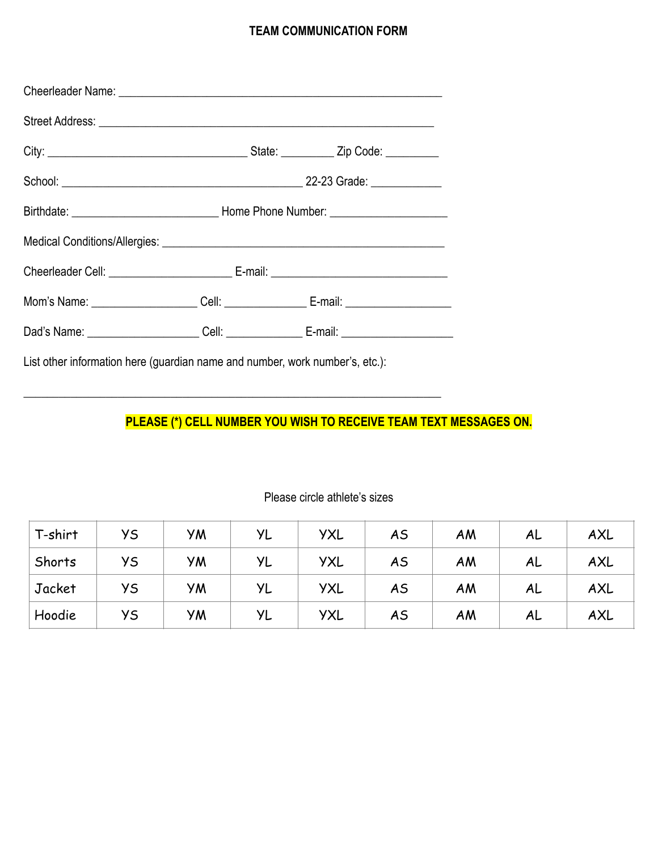# **TEAM COMMUNICATION FORM**

| Mom's Name: ____________________Cell: ___________________E-mail: _______________ |  |
|----------------------------------------------------------------------------------|--|
| Dad's Name: ______________________Cell: __________________E-mail: ______________ |  |

List other information here (guardian name and number, work number's, etc.):

 $\_$  , and the set of the set of the set of the set of the set of the set of the set of the set of the set of the set of the set of the set of the set of the set of the set of the set of the set of the set of the set of th

# **PLEASE (\*) CELL NUMBER YOU WISH TO RECEIVE TEAM TEXT MESSAGES ON.**

| T-shirt | УS | <b>YM</b> | <b>YL</b> | <b>YXL</b> | AS        | AM | AL | AXL |
|---------|----|-----------|-----------|------------|-----------|----|----|-----|
| Shorts  | УS | УM        | YL        | <b>YXL</b> | <b>AS</b> | AM | AL | AXL |
| Jacket  | УS | УM        | YL        | <b>YXL</b> | AS        | AM | AL | AXL |
| Hoodie  | УS | УM        | YL        | <b>YXL</b> | AS        | AM | AL | AXL |

# Please circle athlete's sizes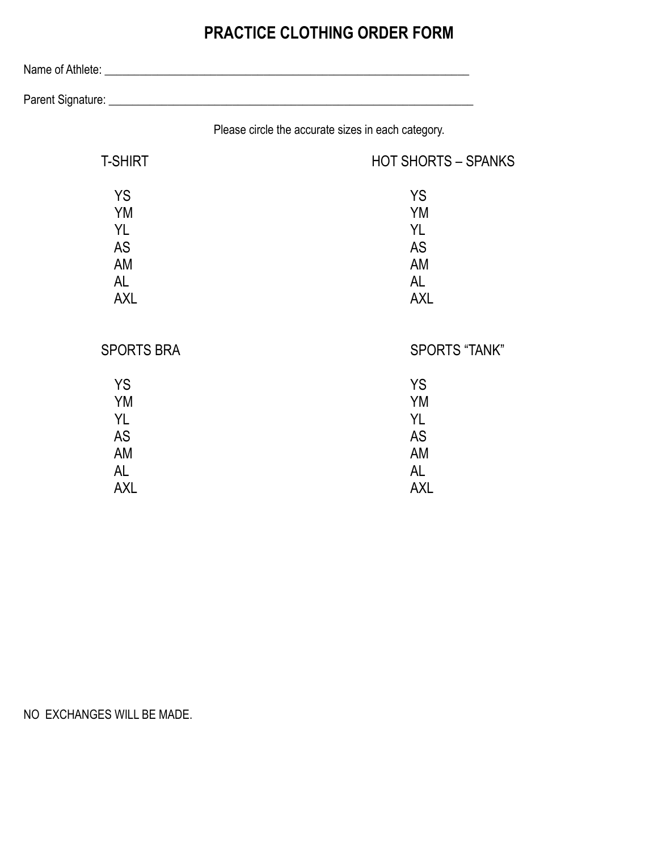# **PRACTICE CLOTHING ORDER FORM**

Name of Athlete: \_\_\_\_\_\_\_\_\_\_\_\_\_\_\_\_\_\_\_\_\_\_\_\_\_\_\_\_\_\_\_\_\_\_\_\_\_\_\_\_\_\_\_\_\_\_\_\_\_\_\_\_\_\_\_\_\_\_\_\_\_\_

Parent Signature: \_\_\_\_\_\_\_\_\_\_\_\_\_\_\_\_\_\_\_\_\_\_\_\_\_\_\_\_\_\_\_\_\_\_\_\_\_\_\_\_\_\_\_\_\_\_\_\_\_\_\_\_\_\_\_\_\_\_\_\_\_\_

Please circle the accurate sizes in each category.

| <b>T-SHIRT</b>    | <b>HOT SHORTS - SPANKS</b> |  |  |
|-------------------|----------------------------|--|--|
| <b>YS</b>         | <b>YS</b>                  |  |  |
| <b>YM</b>         | <b>YM</b>                  |  |  |
| YL                | YL                         |  |  |
| <b>AS</b>         | <b>AS</b>                  |  |  |
| AM                | AM                         |  |  |
| <b>AL</b>         | <b>AL</b>                  |  |  |
| <b>AXL</b>        | <b>AXL</b>                 |  |  |
| <b>SPORTS BRA</b> | <b>SPORTS "TANK"</b>       |  |  |
| <b>YS</b>         | <b>YS</b>                  |  |  |
| YM                | <b>YM</b>                  |  |  |
| YL                | <b>YL</b>                  |  |  |
| <b>AS</b>         | <b>AS</b>                  |  |  |
| AM                | AM                         |  |  |
| AL                | <b>AL</b>                  |  |  |
| <b>AXL</b>        | <b>AXL</b>                 |  |  |

NO EXCHANGES WILL BE MADE.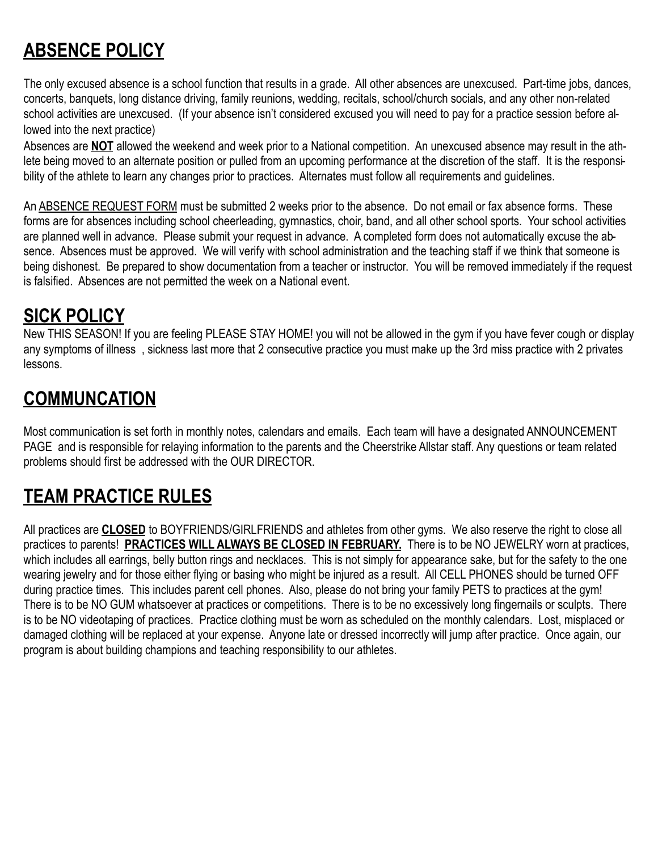# **ABSENCE POLICY**

The only excused absence is a school function that results in a grade. All other absences are unexcused. Part-time jobs, dances, concerts, banquets, long distance driving, family reunions, wedding, recitals, school/church socials, and any other non-related school activities are unexcused. (If your absence isn't considered excused you will need to pay for a practice session before allowed into the next practice)

Absences are **NOT** allowed the weekend and week prior to a National competition. An unexcused absence may result in the athlete being moved to an alternate position or pulled from an upcoming performance at the discretion of the staff. It is the responsibility of the athlete to learn any changes prior to practices. Alternates must follow all requirements and guidelines.

An ABSENCE REQUEST FORM must be submitted 2 weeks prior to the absence. Do not email or fax absence forms. These forms are for absences including school cheerleading, gymnastics, choir, band, and all other school sports. Your school activities are planned well in advance. Please submit your request in advance. A completed form does not automatically excuse the absence. Absences must be approved. We will verify with school administration and the teaching staff if we think that someone is being dishonest. Be prepared to show documentation from a teacher or instructor. You will be removed immediately if the request is falsified. Absences are not permitted the week on a National event.

# **SICK POLICY**

New THIS SEASON! If you are feeling PLEASE STAY HOME! you will not be allowed in the gym if you have fever cough or display any symptoms of illness , sickness last more that 2 consecutive practice you must make up the 3rd miss practice with 2 privates lessons.

# **COMMUNCATION**

Most communication is set forth in monthly notes, calendars and emails. Each team will have a designated ANNOUNCEMENT PAGE and is responsible for relaying information to the parents and the Cheerstrike Allstar staff. Any questions or team related problems should first be addressed with the OUR DIRECTOR.

# **TEAM PRACTICE RULES**

All practices are **CLOSED** to BOYFRIENDS/GIRLFRIENDS and athletes from other gyms. We also reserve the right to close all practices to parents! **PRACTICES WILL ALWAYS BE CLOSED IN FEBRUARY.** There is to be NO JEWELRY worn at practices, which includes all earrings, belly button rings and necklaces. This is not simply for appearance sake, but for the safety to the one wearing jewelry and for those either flying or basing who might be injured as a result. All CELL PHONES should be turned OFF during practice times. This includes parent cell phones. Also, please do not bring your family PETS to practices at the gym! There is to be NO GUM whatsoever at practices or competitions. There is to be no excessively long fingernails or sculpts. There is to be NO videotaping of practices. Practice clothing must be worn as scheduled on the monthly calendars. Lost, misplaced or damaged clothing will be replaced at your expense. Anyone late or dressed incorrectly will jump after practice. Once again, our program is about building champions and teaching responsibility to our athletes.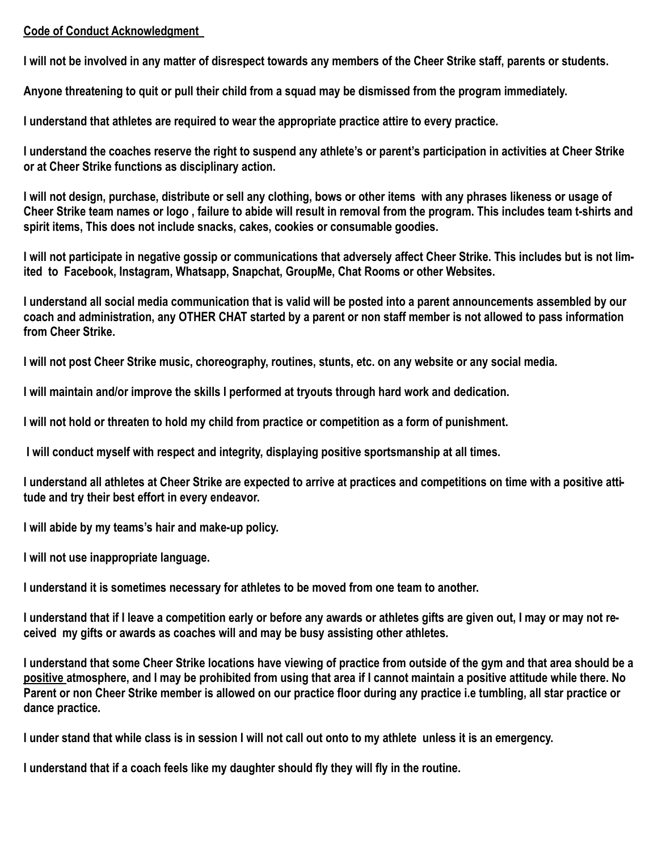# **Code of Conduct Acknowledgment**

**I will not be involved in any matter of disrespect towards any members of the Cheer Strike staff, parents or students.**

**Anyone threatening to quit or pull their child from a squad may be dismissed from the program immediately.**

**I understand that athletes are required to wear the appropriate practice attire to every practice.**

**I understand the coaches reserve the right to suspend any athlete's or parent's participation in activities at Cheer Strike or at Cheer Strike functions as disciplinary action.** 

**I will not design, purchase, distribute or sell any clothing, bows or other items with any phrases likeness or usage of Cheer Strike team names or logo , failure to abide will result in removal from the program. This includes team t-shirts and spirit items, This does not include snacks, cakes, cookies or consumable goodies.**

**I will not participate in negative gossip or communications that adversely affect Cheer Strike. This includes but is not limited to Facebook, Instagram, Whatsapp, Snapchat, GroupMe, Chat Rooms or other Websites.**

**I understand all social media communication that is valid will be posted into a parent announcements assembled by our coach and administration, any OTHER CHAT started by a parent or non staff member is not allowed to pass information from Cheer Strike.** 

**I will not post Cheer Strike music, choreography, routines, stunts, etc. on any website or any social media.**

**I will maintain and/or improve the skills I performed at tryouts through hard work and dedication.**

**I will not hold or threaten to hold my child from practice or competition as a form of punishment.**

 **I will conduct myself with respect and integrity, displaying positive sportsmanship at all times.**

**I understand all athletes at Cheer Strike are expected to arrive at practices and competitions on time with a positive attitude and try their best effort in every endeavor.**

**I will abide by my teams's hair and make-up policy.**

**I will not use inappropriate language.**

**I understand it is sometimes necessary for athletes to be moved from one team to another.**

**I understand that if I leave a competition early or before any awards or athletes gifts are given out, I may or may not received my gifts or awards as coaches will and may be busy assisting other athletes.** 

**I understand that some Cheer Strike locations have viewing of practice from outside of the gym and that area should be a positive atmosphere, and I may be prohibited from using that area if I cannot maintain a positive attitude while there. No Parent or non Cheer Strike member is allowed on our practice floor during any practice i.e tumbling, all star practice or dance practice.** 

**I under stand that while class is in session I will not call out onto to my athlete unless it is an emergency.**

**I understand that if a coach feels like my daughter should fly they will fly in the routine.**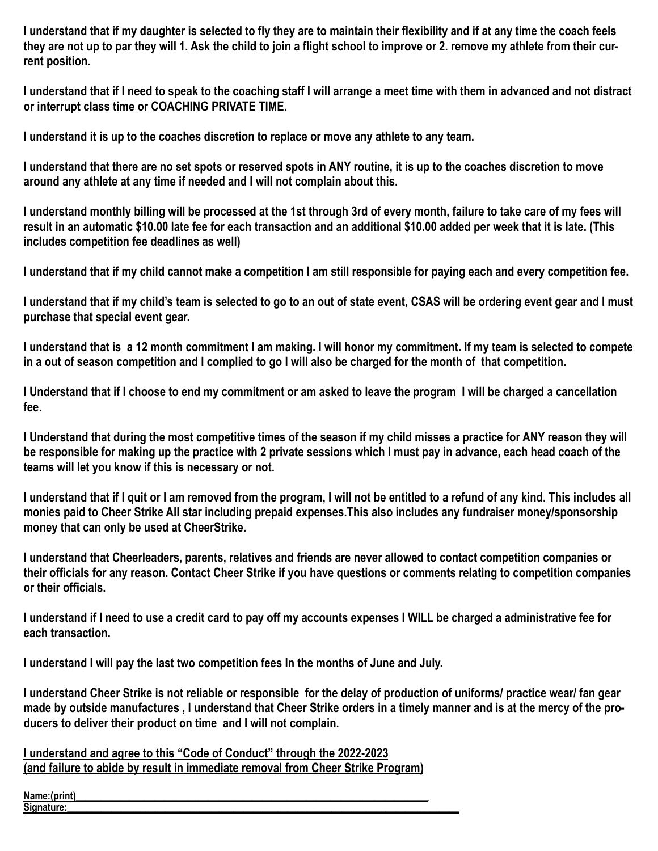**I understand that if my daughter is selected to fly they are to maintain their flexibility and if at any time the coach feels they are not up to par they will 1. Ask the child to join a flight school to improve or 2. remove my athlete from their current position.** 

**I understand that if I need to speak to the coaching staff I will arrange a meet time with them in advanced and not distract or interrupt class time or COACHING PRIVATE TIME.** 

**I understand it is up to the coaches discretion to replace or move any athlete to any team.**

**I understand that there are no set spots or reserved spots in ANY routine, it is up to the coaches discretion to move around any athlete at any time if needed and I will not complain about this.**

**I understand monthly billing will be processed at the 1st through 3rd of every month, failure to take care of my fees will result in an automatic \$10.00 late fee for each transaction and an additional \$10.00 added per week that it is late. (This includes competition fee deadlines as well)**

**I understand that if my child cannot make a competition I am still responsible for paying each and every competition fee.** 

**I understand that if my child's team is selected to go to an out of state event, CSAS will be ordering event gear and I must purchase that special event gear.**

**I understand that is a 12 month commitment I am making. I will honor my commitment. If my team is selected to compete in a out of season competition and I complied to go I will also be charged for the month of that competition.** 

**I Understand that if I choose to end my commitment or am asked to leave the program I will be charged a cancellation fee.**

**I Understand that during the most competitive times of the season if my child misses a practice for ANY reason they will be responsible for making up the practice with 2 private sessions which I must pay in advance, each head coach of the teams will let you know if this is necessary or not.** 

**I understand that if I quit or I am removed from the program, I will not be entitled to a refund of any kind. This includes all monies paid to Cheer Strike All star including prepaid expenses.This also includes any fundraiser money/sponsorship money that can only be used at CheerStrike.**

**I understand that Cheerleaders, parents, relatives and friends are never allowed to contact competition companies or their officials for any reason. Contact Cheer Strike if you have questions or comments relating to competition companies or their officials.**

**I understand if I need to use a credit card to pay off my accounts expenses I WILL be charged a administrative fee for each transaction.** 

**I understand I will pay the last two competition fees In the months of June and July.**

**I understand Cheer Strike is not reliable or responsible for the delay of production of uniforms/ practice wear/ fan gear made by outside manufactures , I understand that Cheer Strike orders in a timely manner and is at the mercy of the producers to deliver their product on time and I will not complain.** 

**I understand and agree to this "Code of Conduct" through the 2022-2023 (and failure to abide by result in immediate removal from Cheer Strike Program)**

Name:(print) **Signature:\_\_\_\_\_\_\_\_\_\_\_\_\_\_\_\_\_\_\_\_\_\_\_\_\_\_\_\_\_\_\_\_\_\_\_\_\_\_\_\_\_\_\_\_\_\_\_\_\_\_\_\_\_\_\_\_\_\_\_\_\_\_\_\_\_\_\_\_\_\_\_\_\_\_\_\_\_\_\_\_**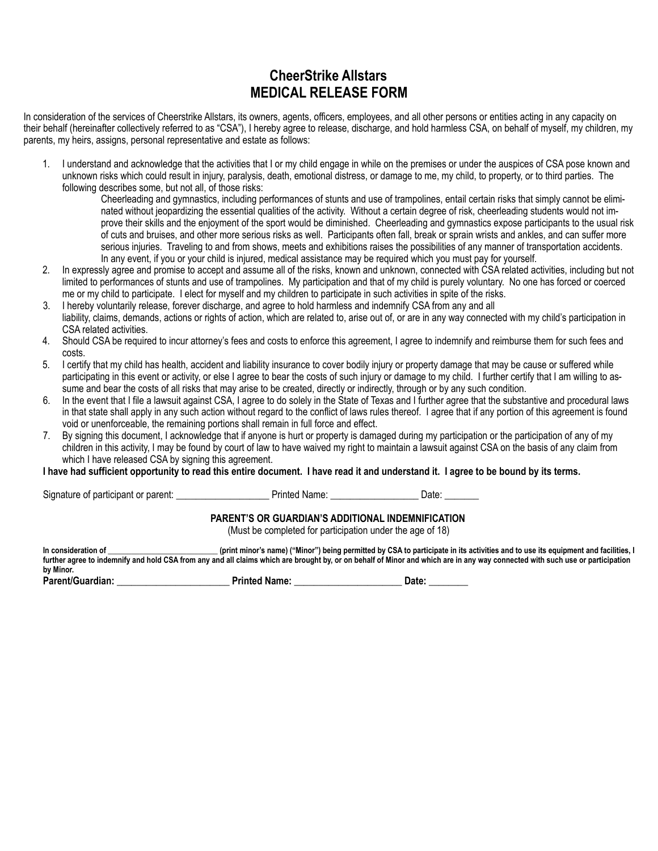# **CheerStrike Allstars MEDICAL RELEASE FORM**

In consideration of the services of Cheerstrike Allstars, its owners, agents, officers, employees, and all other persons or entities acting in any capacity on their behalf (hereinafter collectively referred to as "CSA"), I hereby agree to release, discharge, and hold harmless CSA, on behalf of myself, my children, my parents, my heirs, assigns, personal representative and estate as follows:

1. I understand and acknowledge that the activities that I or my child engage in while on the premises or under the auspices of CSA pose known and unknown risks which could result in injury, paralysis, death, emotional distress, or damage to me, my child, to property, or to third parties. The following describes some, but not all, of those risks:

Cheerleading and gymnastics, including performances of stunts and use of trampolines, entail certain risks that simply cannot be eliminated without jeopardizing the essential qualities of the activity. Without a certain degree of risk, cheerleading students would not improve their skills and the enjoyment of the sport would be diminished. Cheerleading and gymnastics expose participants to the usual risk of cuts and bruises, and other more serious risks as well. Participants often fall, break or sprain wrists and ankles, and can suffer more serious injuries. Traveling to and from shows, meets and exhibitions raises the possibilities of any manner of transportation accidents. In any event, if you or your child is injured, medical assistance may be required which you must pay for yourself.

- 2. In expressly agree and promise to accept and assume all of the risks, known and unknown, connected with CSA related activities, including but not limited to performances of stunts and use of trampolines. My participation and that of my child is purely voluntary. No one has forced or coerced me or my child to participate. I elect for myself and my children to participate in such activities in spite of the risks.
- 3. I hereby voluntarily release, forever discharge, and agree to hold harmless and indemnify CSA from any and all liability, claims, demands, actions or rights of action, which are related to, arise out of, or are in any way connected with my child's participation in CSA related activities.
- 4. Should CSA be required to incur attorney's fees and costs to enforce this agreement, I agree to indemnify and reimburse them for such fees and costs.
- 5. I certify that my child has health, accident and liability insurance to cover bodily injury or property damage that may be cause or suffered while participating in this event or activity, or else I agree to bear the costs of such injury or damage to my child. I further certify that I am willing to assume and bear the costs of all risks that may arise to be created, directly or indirectly, through or by any such condition.
- 6. In the event that I file a lawsuit against CSA, I agree to do solely in the State of Texas and I further agree that the substantive and procedural laws in that state shall apply in any such action without regard to the conflict of laws rules thereof. I agree that if any portion of this agreement is found void or unenforceable, the remaining portions shall remain in full force and effect.
- 7. By signing this document, I acknowledge that if anyone is hurt or property is damaged during my participation or the participation of any of my children in this activity, I may be found by court of law to have waived my right to maintain a lawsuit against CSA on the basis of any claim from which I have released CSA by signing this agreement.

**I have had sufficient opportunity to read this entire document. I have read it and understand it. I agree to be bound by its terms.**

Signature of participant or parent: \_\_\_\_\_\_\_\_\_\_\_\_\_\_\_\_\_\_\_ Printed Name: \_\_\_\_\_\_\_\_\_\_\_\_\_\_\_\_\_\_ Date: \_\_\_\_\_\_\_

#### **PARENT'S OR GUARDIAN'S ADDITIONAL INDEMNIFICATION**

(Must be completed for participation under the age of 18)

In consideration of **witch the set of the set of the set of the set of the set of the set of the set of the set of the set of the set of activities and to use its equipment and facilities, I further agree to indemnify and hold CSA from any and all claims which are brought by, or on behalf of Minor and which are in any way connected with such use or participation by Minor.**

| Parent/Guardian: | <b>Printed Name:</b> | Date |  |
|------------------|----------------------|------|--|
|------------------|----------------------|------|--|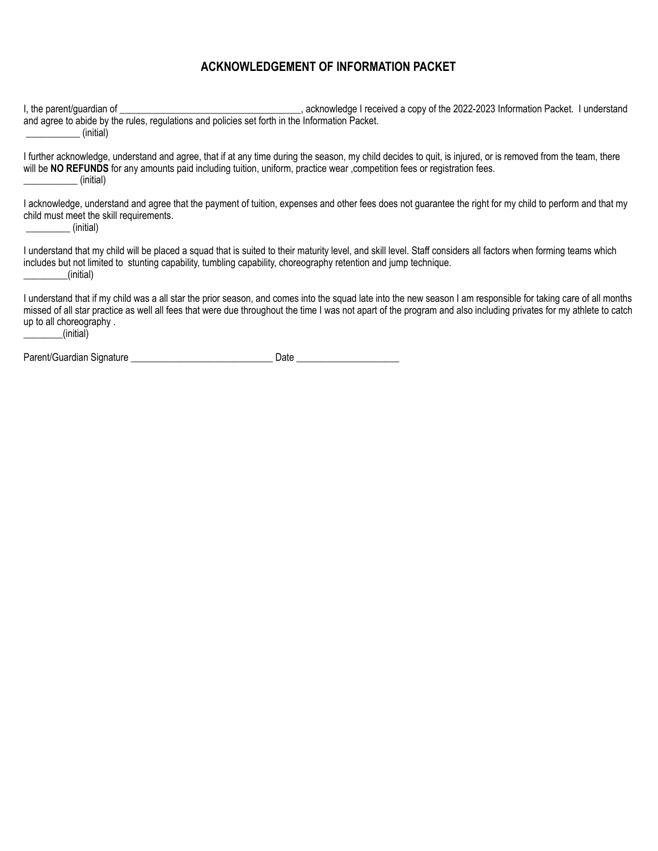# **ACKNOWLEDGEMENT OF INFORMATION PACKET**

I, the parent/guardian of **Exercice 2022-2023** Information Packet. I understand and agree to abide by the rules, regulations and policies set forth in the Information Packet. \_\_\_\_\_\_\_\_\_\_\_ (initial) I further acknowledge, understand and agree, that if at any time during the season, my child decides to quit, is injured, or is removed from the team, there will be **NO REFUNDS** for any amounts paid including tuition, uniform, practice wear ,competition fees or registration fees. \_\_\_\_\_\_\_\_\_\_\_ (initial) I acknowledge, understand and agree that the payment of tuition, expenses and other fees does not quarantee the right for my child to perform and that my child must meet the skill requirements. \_\_\_\_\_\_\_\_\_ (initial) I understand that my child will be placed a squad that is suited to their maturity level, and skill level. Staff considers all factors when forming teams which includes but not limited to stunting capability, tumbling capability, choreography retention and jump technique. \_\_\_\_\_\_\_\_\_(initial) I understand that if my child was a all star the prior season, and comes into the squad late into the new season I am responsible for taking care of all months missed of all star practice as well all fees that were due throughout the time I was not apart of the program and also including privates for my athlete to catch up to all choreography .  $_{\_}$ (initial) Parent/Guardian Signature extendion to the state of Date Date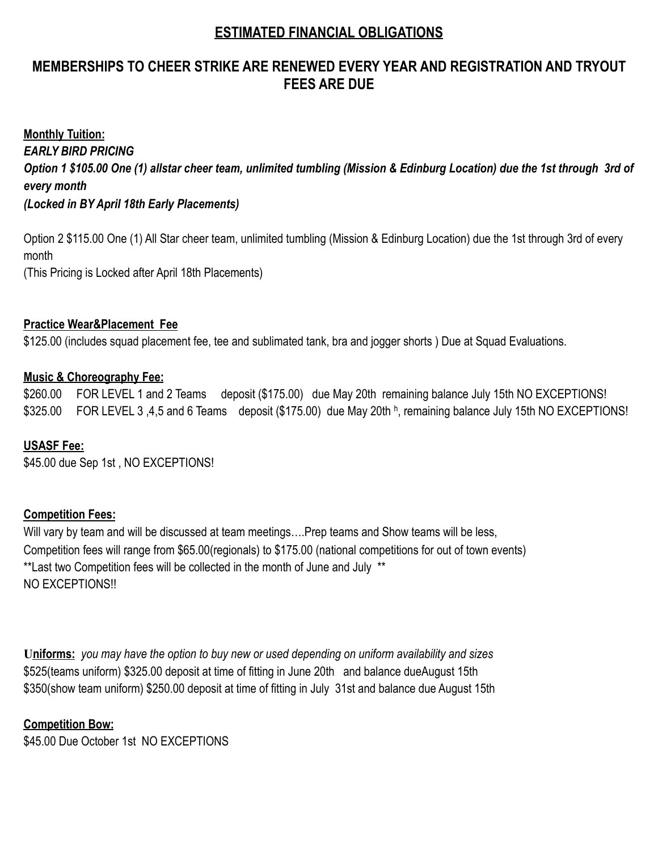# **ESTIMATED FINANCIAL OBLIGATIONS**

# **MEMBERSHIPS TO CHEER STRIKE ARE RENEWED EVERY YEAR AND REGISTRATION AND TRYOUT FEES ARE DUE**

**Monthly Tuition:** *EARLY BIRD PRICING Option 1 \$105.00 One (1) allstar cheer team, unlimited tumbling (Mission & Edinburg Location) due the 1st through 3rd of every month (Locked in BY April 18th Early Placements)* 

Option 2 \$115.00 One (1) All Star cheer team, unlimited tumbling (Mission & Edinburg Location) due the 1st through 3rd of every month (This Pricing is Locked after April 18th Placements)

## **Practice Wear&Placement Fee**

\$125.00 (includes squad placement fee, tee and sublimated tank, bra and jogger shorts ) Due at Squad Evaluations.

## **Music & Choreography Fee:**

\$260.00 FOR LEVEL 1 and 2 Teams deposit (\$175.00) due May 20th remaining balance July 15th NO EXCEPTIONS! \$325.00 FOR LEVEL 3,4,5 and 6 Teams deposit (\$175.00) due May 20th <sup>h</sup>, remaining balance July 15th NO EXCEPTIONS!

## **USASF Fee:**

\$45.00 due Sep 1st, NO EXCEPTIONS!

## **Competition Fees:**

Will vary by team and will be discussed at team meetings....Prep teams and Show teams will be less, Competition fees will range from \$65.00(regionals) to \$175.00 (national competitions for out of town events) \*\*Last two Competition fees will be collected in the month of June and July \*\* NO EXCEPTIONS!!

**Uniforms:** *you may have the option to buy new or used depending on uniform availability and sizes* \$525(teams uniform) \$325.00 deposit at time of fitting in June 20th and balance dueAugust 15th \$350(show team uniform) \$250.00 deposit at time of fitting in July 31st and balance due August 15th

## **Competition Bow:**

\$45.00 Due October 1st NO EXCEPTIONS